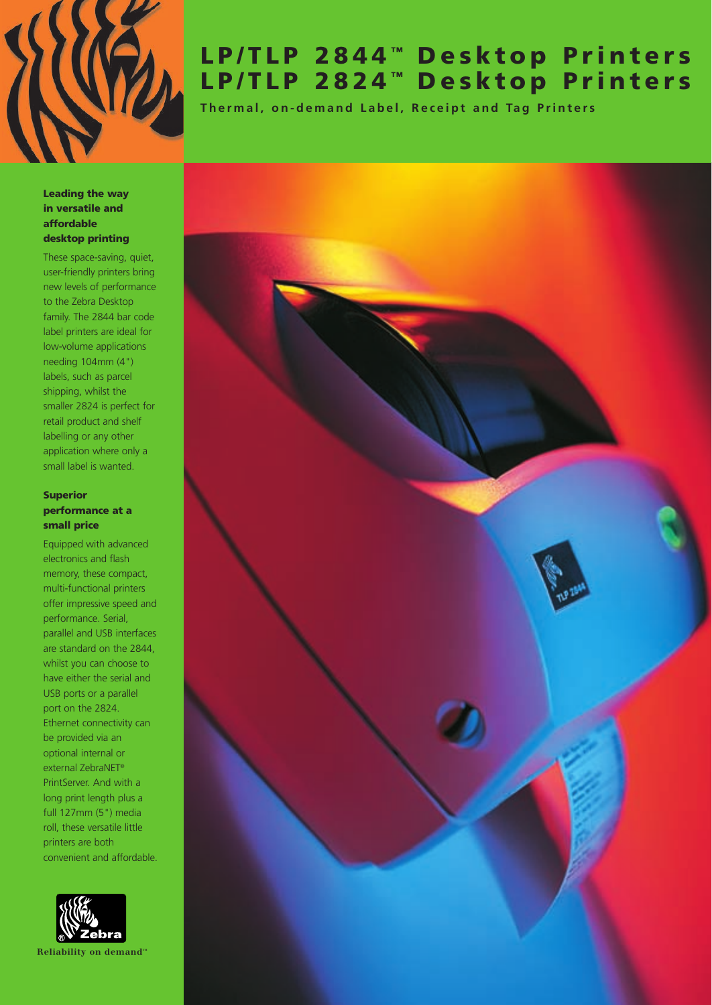

# **LP/TLP 2844 ™ Desktop Printers LP/TLP 2824 ™ Desktop Printers**

**Thermal, on-demand Label, Receipt and Tag Printers**

#### **Leading the way in versatile and affordable desktop printing**

These space-saving, quiet, user-friendly printers bring new levels of performance to the Zebra Desktop family. The 2844 bar code label printers are ideal for low-volume applications needing 104mm (4") labels, such as parcel shipping, whilst the smaller 2824 is perfect for retail product and shelf labelling or any other application where only a small label is wanted.

# **Superior performance at a small price**

Equipped with advanced electronics and flash memory, these compact, multi-functional printers offer impressive speed and performance. Serial, parallel and USB interfaces are standard on the 2844, whilst you can choose to have either the serial and USB ports or a parallel port on the 2824. Ethernet connectivity can be provided via an optional internal or external ZebraNET® PrintServer. And with a long print length plus a full 127mm (5") media roll, these versatile little printers are both convenient and affordable.



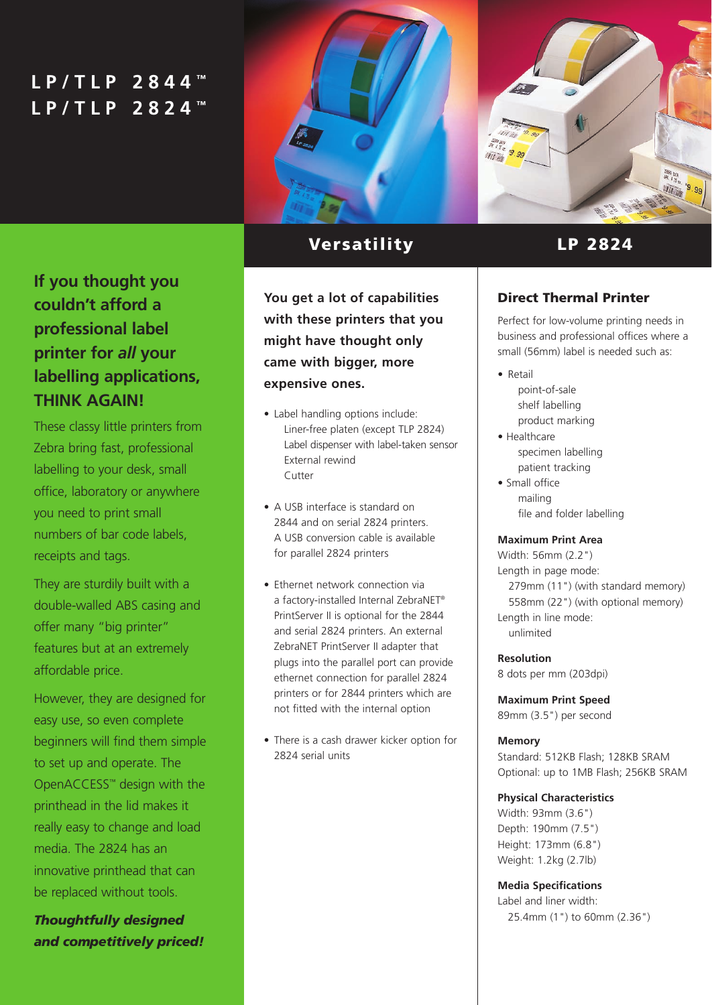# **LP/TLP 2844 ™ LP/TLP 2824 ™**



# **If you thought you couldn't afford a professional label printer for** *all* **your labelling applications, THINK AGAIN!**

These classy little printers from Zebra bring fast, professional labelling to your desk, small office, laboratory or anywhere you need to print small numbers of bar code labels, receipts and tags.

They are sturdily built with a double-walled ABS casing and offer many "big printer" features but at an extremely affordable price.

However, they are designed for easy use, so even complete beginners will find them simple to set up and operate. The OpenACCESS™ design with the printhead in the lid makes it really easy to change and load media. The 2824 has an innovative printhead that can be replaced without tools.

*Thoughtfully designed and competitively priced!*

# **Versatility LP 2824**

**You get a lot of capabilities with these printers that you might have thought only came with bigger, more expensive ones.** 

- Label handling options include: Liner-free platen (except TLP 2824) Label dispenser with label-taken sensor External rewind Cutter
- A USB interface is standard on 2844 and on serial 2824 printers. A USB conversion cable is available for parallel 2824 printers
- Ethernet network connection via a factory-installed Internal ZebraNET® PrintServer II is optional for the 2844 and serial 2824 printers. An external ZebraNET PrintServer II adapter that plugs into the parallel port can provide ethernet connection for parallel 2824 printers or for 2844 printers which are not fitted with the internal option
- There is a cash drawer kicker option for 2824 serial units

# **Direct Thermal Printer**

Perfect for low-volume printing needs in business and professional offices where a small (56mm) label is needed such as:

- Retail point-of-sale shelf labelling product marking
- Healthcare specimen labelling patient tracking
- Small office mailing file and folder labelling

# **Maximum Print Area**

Width: 56mm (2.2") Length in page mode: 279mm (11") (with standard memory) 558mm (22") (with optional memory) Length in line mode: unlimited

**Resolution**

8 dots per mm (203dpi)

**Maximum Print Speed** 89mm (3.5") per second

# **Memory**

Standard: 512KB Flash; 128KB SRAM Optional: up to 1MB Flash; 256KB SRAM

# **Physical Characteristics**

Width: 93mm (3.6") Depth: 190mm (7.5") Height: 173mm (6.8") Weight: 1.2kg (2.7lb)

# **Media Specifications**

Label and liner width: 25.4mm (1") to 60mm (2.36")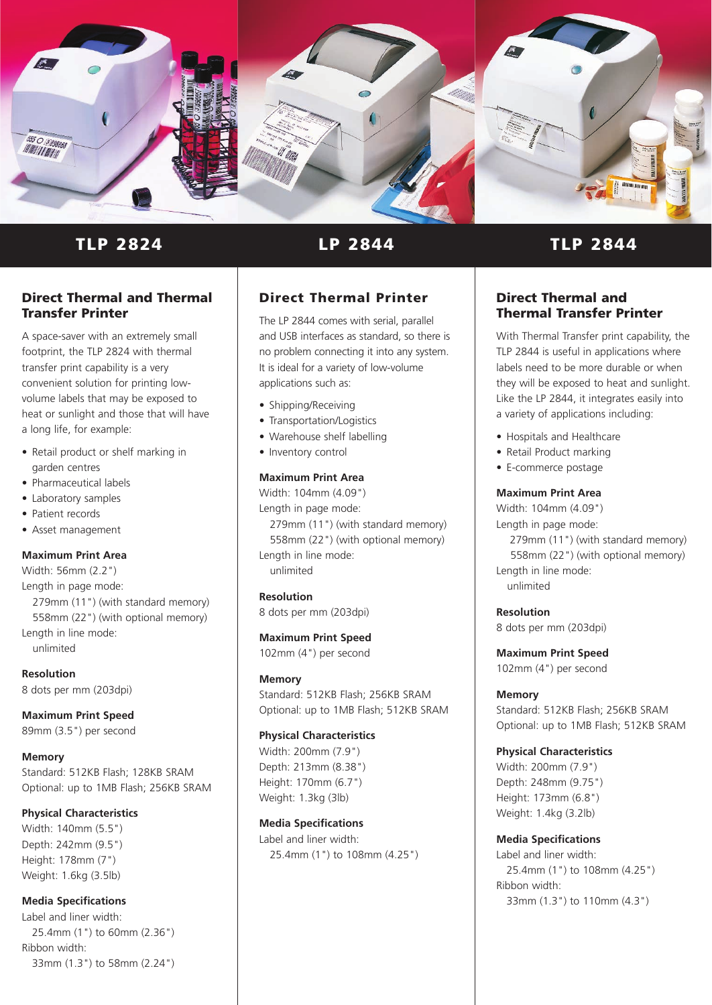

**TLP 2824**

#### **Direct Thermal and Thermal Transfer Printer**

A space-saver with an extremely small footprint, the TLP 2824 with thermal transfer print capability is a very convenient solution for printing lowvolume labels that may be exposed to heat or sunlight and those that will have a long life, for example:

- Retail product or shelf marking in garden centres
- Pharmaceutical labels
- Laboratory samples
- Patient records
- Asset management

# **Maximum Print Area**

Width: 56mm (2.2") Length in page mode: 279mm (11") (with standard memory) 558mm (22") (with optional memory) Length in line mode: unlimited

**Resolution** 8 dots per mm (203dpi)

#### **Maximum Print Speed** 89mm (3.5") per second

**Memory**

Standard: 512KB Flash; 128KB SRAM Optional: up to 1MB Flash; 256KB SRAM

# **Physical Characteristics**

Width: 140mm (5.5") Depth: 242mm (9.5") Height: 178mm (7") Weight: 1.6kg (3.5lb)

# **Media Specifications**

Label and liner width: 25.4mm (1") to 60mm (2.36") Ribbon width: 33mm (1.3") to 58mm (2.24")

# **Direct Thermal Printer**

The LP 2844 comes with serial, parallel and USB interfaces as standard, so there is no problem connecting it into any system. It is ideal for a variety of low-volume applications such as:

- Shipping/Receiving
- Transportation/Logistics
- Warehouse shelf labelling
- Inventory control

#### **Maximum Print Area**

Width: 104mm (4.09") Length in page mode: 279mm (11") (with standard memory) 558mm (22") (with optional memory) Length in line mode: unlimited

**Resolution** 8 dots per mm (203dpi)

**Maximum Print Speed** 102mm (4") per second

#### **Memory**

Standard: 512KB Flash; 256KB SRAM Optional: up to 1MB Flash; 512KB SRAM

#### **Physical Characteristics**

Width: 200mm (7.9") Depth: 213mm (8.38") Height: 170mm (6.7") Weight: 1.3kg (3lb)

#### **Media Specifications**

Label and liner width: 25.4mm (1") to 108mm (4.25")

# **LP 2844 TLP 2844**

# **Direct Thermal and Thermal Transfer Printer**

With Thermal Transfer print capability, the TLP 2844 is useful in applications where labels need to be more durable or when they will be exposed to heat and sunlight. Like the LP 2844, it integrates easily into a variety of applications including:

- Hospitals and Healthcare
- Retail Product marking
- E-commerce postage

#### **Maximum Print Area**

Width: 104mm (4.09") Length in page mode: 279mm (11") (with standard memory) 558mm (22") (with optional memory) Length in line mode: unlimited

# **Resolution**

8 dots per mm (203dpi)

**Maximum Print Speed** 102mm (4") per second

# **Memory**

Standard: 512KB Flash; 256KB SRAM Optional: up to 1MB Flash; 512KB SRAM

# **Physical Characteristics**

Width: 200mm (7.9") Depth: 248mm (9.75") Height: 173mm (6.8") Weight: 1.4kg (3.2lb)

# **Media Specifications**

Label and liner width: 25.4mm (1") to 108mm (4.25") Ribbon width: 33mm (1.3") to 110mm (4.3")